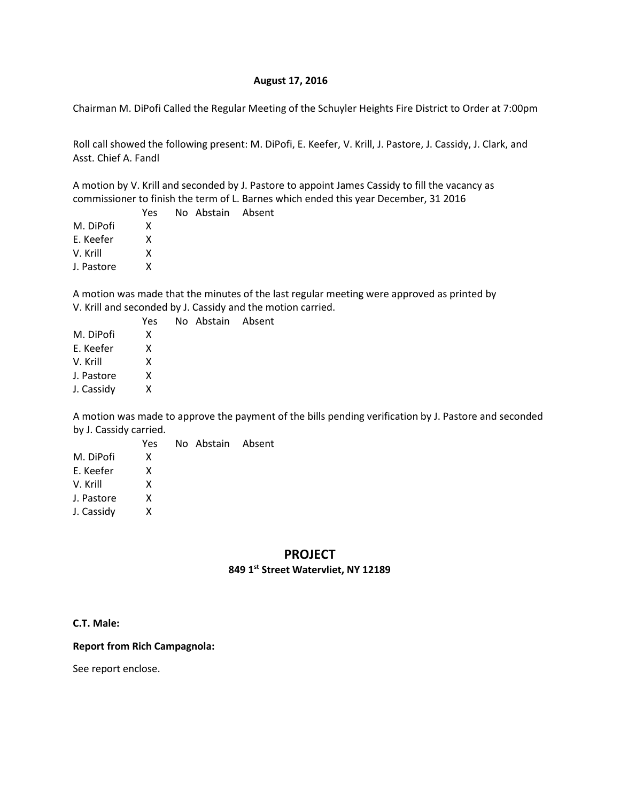### **August 17, 2016**

Chairman M. DiPofi Called the Regular Meeting of the Schuyler Heights Fire District to Order at 7:00pm

Roll call showed the following present: M. DiPofi, E. Keefer, V. Krill, J. Pastore, J. Cassidy, J. Clark, and Asst. Chief A. Fandl

A motion by V. Krill and seconded by J. Pastore to appoint James Cassidy to fill the vacancy as commissioner to finish the term of L. Barnes which ended this year December, 31 2016

No Abstain Absent

No Abstain Absent

|            | Yes |
|------------|-----|
| M. DiPofi  | x   |
| E. Keefer  | x   |
| V. Krill   | x   |
| J. Pastore | x   |

A motion was made that the minutes of the last regular meeting were approved as printed by V. Krill and seconded by J. Cassidy and the motion carried.

|            | Yes |
|------------|-----|
| M. DiPofi  | x   |
| F. Keefer  | x   |
| V. Krill   | x   |
| J. Pastore | x   |
| J. Cassidy | x   |
|            |     |

A motion was made to approve the payment of the bills pending verification by J. Pastore and seconded by J. Cassidy carried.

|            | Yes | No Abstain Absent |  |
|------------|-----|-------------------|--|
| M. DiPofi  | x   |                   |  |
| E. Keefer  | x   |                   |  |
| V. Krill   | x   |                   |  |
| J. Pastore | x   |                   |  |
| J. Cassidy | x   |                   |  |
|            |     |                   |  |

## **PROJECT 849 1st Street Watervliet, NY 12189**

#### **C.T. Male:**

#### **Report from Rich Campagnola:**

See report enclose.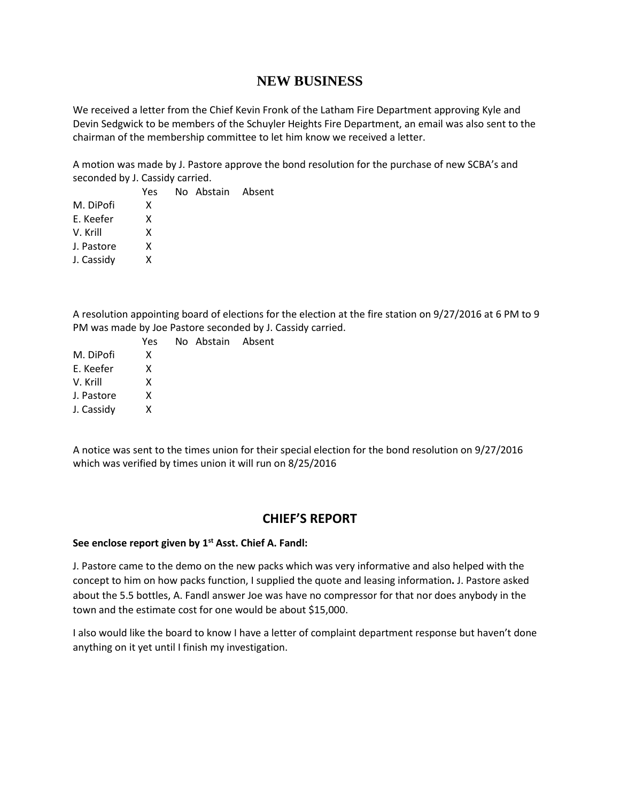# **NEW BUSINESS**

We received a letter from the Chief Kevin Fronk of the Latham Fire Department approving Kyle and Devin Sedgwick to be members of the Schuyler Heights Fire Department, an email was also sent to the chairman of the membership committee to let him know we received a letter.

A motion was made by J. Pastore approve the bond resolution for the purchase of new SCBA's and seconded by J. Cassidy carried.

|            | Yes | No Abstain Absent |  |
|------------|-----|-------------------|--|
| M. DiPofi  | x   |                   |  |
| E. Keefer  | x   |                   |  |
| V. Krill   | x   |                   |  |
| J. Pastore | x   |                   |  |
| J. Cassidy | X   |                   |  |
|            |     |                   |  |

A resolution appointing board of elections for the election at the fire station on 9/27/2016 at 6 PM to 9 PM was made by Joe Pastore seconded by J. Cassidy carried.

|            | Yes | No Abstain Absent |  |
|------------|-----|-------------------|--|
| M. DiPofi  | x   |                   |  |
| E. Keefer  | x   |                   |  |
| V. Krill   | x   |                   |  |
| J. Pastore | x   |                   |  |
| J. Cassidy | x   |                   |  |
|            |     |                   |  |

A notice was sent to the times union for their special election for the bond resolution on 9/27/2016 which was verified by times union it will run on 8/25/2016

## **CHIEF'S REPORT**

#### **See enclose report given by 1st Asst. Chief A. Fandl:**

J. Pastore came to the demo on the new packs which was very informative and also helped with the concept to him on how packs function, I supplied the quote and leasing information**.** J. Pastore asked about the 5.5 bottles, A. Fandl answer Joe was have no compressor for that nor does anybody in the town and the estimate cost for one would be about \$15,000.

I also would like the board to know I have a letter of complaint department response but haven't done anything on it yet until I finish my investigation.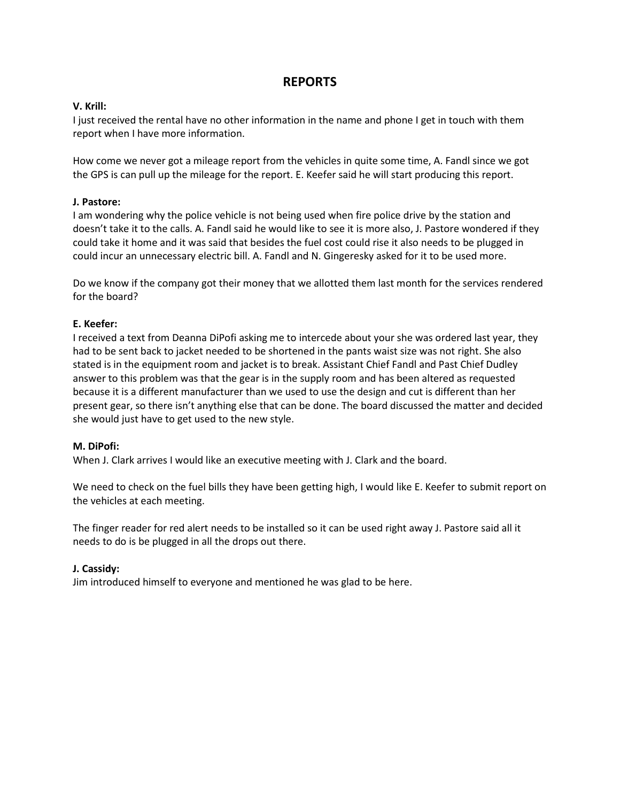# **REPORTS**

### **V. Krill:**

I just received the rental have no other information in the name and phone I get in touch with them report when I have more information.

How come we never got a mileage report from the vehicles in quite some time, A. Fandl since we got the GPS is can pull up the mileage for the report. E. Keefer said he will start producing this report.

### **J. Pastore:**

I am wondering why the police vehicle is not being used when fire police drive by the station and doesn't take it to the calls. A. Fandl said he would like to see it is more also, J. Pastore wondered if they could take it home and it was said that besides the fuel cost could rise it also needs to be plugged in could incur an unnecessary electric bill. A. Fandl and N. Gingeresky asked for it to be used more.

Do we know if the company got their money that we allotted them last month for the services rendered for the board?

### **E. Keefer:**

I received a text from Deanna DiPofi asking me to intercede about your she was ordered last year, they had to be sent back to jacket needed to be shortened in the pants waist size was not right. She also stated is in the equipment room and jacket is to break. Assistant Chief Fandl and Past Chief Dudley answer to this problem was that the gear is in the supply room and has been altered as requested because it is a different manufacturer than we used to use the design and cut is different than her present gear, so there isn't anything else that can be done. The board discussed the matter and decided she would just have to get used to the new style.

### **M. DiPofi:**

When J. Clark arrives I would like an executive meeting with J. Clark and the board.

We need to check on the fuel bills they have been getting high, I would like E. Keefer to submit report on the vehicles at each meeting.

The finger reader for red alert needs to be installed so it can be used right away J. Pastore said all it needs to do is be plugged in all the drops out there.

## **J. Cassidy:**

Jim introduced himself to everyone and mentioned he was glad to be here.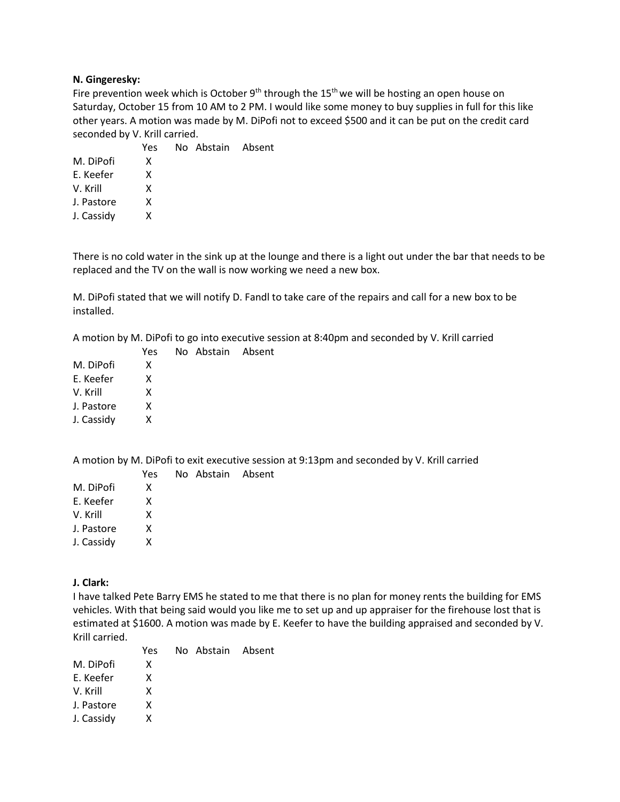### **N. Gingeresky:**

Fire prevention week which is October  $9<sup>th</sup>$  through the 15<sup>th</sup> we will be hosting an open house on Saturday, October 15 from 10 AM to 2 PM. I would like some money to buy supplies in full for this like other years. A motion was made by M. DiPofi not to exceed \$500 and it can be put on the credit card seconded by V. Krill carried.

|            | Yes | No Abstain Absent |  |
|------------|-----|-------------------|--|
| M. DiPofi  | x   |                   |  |
| E. Keefer  | x   |                   |  |
| V. Krill   | x   |                   |  |
| J. Pastore | x   |                   |  |
| J. Cassidy | x   |                   |  |
|            |     |                   |  |

There is no cold water in the sink up at the lounge and there is a light out under the bar that needs to be replaced and the TV on the wall is now working we need a new box.

M. DiPofi stated that we will notify D. Fandl to take care of the repairs and call for a new box to be installed.

A motion by M. DiPofi to go into executive session at 8:40pm and seconded by V. Krill carried

No Abstain Absent

|            | Yes |
|------------|-----|
| M. DiPofi  | x   |
| E. Keefer  | x   |
| V. Krill   | x   |
| J. Pastore | x   |
| J. Cassidy | x   |
|            |     |

A motion by M. DiPofi to exit executive session at 9:13pm and seconded by V. Krill carried

|            | Yes | No Abstain Absent |  |
|------------|-----|-------------------|--|
| M. DiPofi  | x   |                   |  |
| F. Keefer  | x   |                   |  |
| V. Krill   | x   |                   |  |
| J. Pastore | x   |                   |  |
| J. Cassidy | x   |                   |  |
|            |     |                   |  |

**J. Clark:**

I have talked Pete Barry EMS he stated to me that there is no plan for money rents the building for EMS vehicles. With that being said would you like me to set up and up appraiser for the firehouse lost that is estimated at \$1600. A motion was made by E. Keefer to have the building appraised and seconded by V. Krill carried.

|            | Yes. | No Abstain Absent |  |
|------------|------|-------------------|--|
| M. DiPofi  | x    |                   |  |
| E. Keefer  | x    |                   |  |
| V. Krill   | x    |                   |  |
| J. Pastore | x    |                   |  |
| J. Cassidy | x    |                   |  |